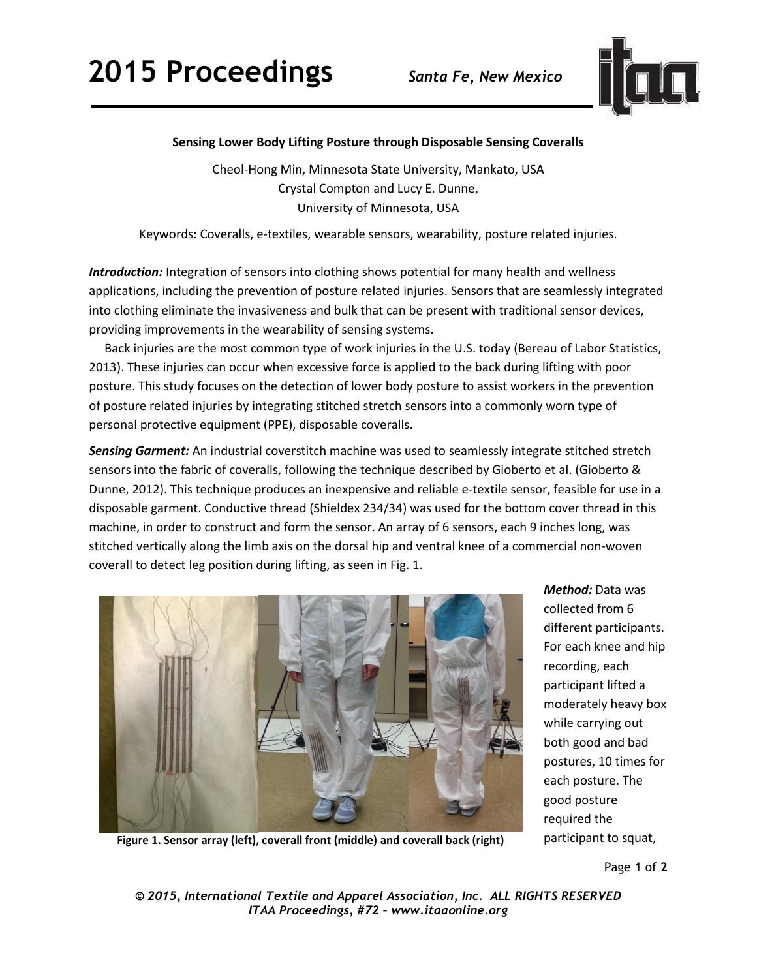## **2015 Proceedings** *Santa Fe, New Mexico*



## **Sensing Lower Body Lifting Posture through Disposable Sensing Coveralls**

Cheol-Hong Min, Minnesota State University, Mankato, USA Crystal Compton and Lucy E. Dunne, University of Minnesota, USA

Keywords: Coveralls, e-textiles, wearable sensors, wearability, posture related injuries.

*Introduction:* Integration of sensors into clothing shows potential for many health and wellness applications, including the prevention of posture related injuries. Sensors that are seamlessly integrated into clothing eliminate the invasiveness and bulk that can be present with traditional sensor devices, providing improvements in the wearability of sensing systems.

 Back injuries are the most common type of work injuries in the U.S. today (Bereau of Labor Statistics, 2013). These injuries can occur when excessive force is applied to the back during lifting with poor posture. This study focuses on the detection of lower body posture to assist workers in the prevention of posture related injuries by integrating stitched stretch sensors into a commonly worn type of personal protective equipment (PPE), disposable coveralls.

*Sensing Garment:* An industrial coverstitch machine was used to seamlessly integrate stitched stretch sensors into the fabric of coveralls, following the technique described by Gioberto et al. (Gioberto & Dunne, 2012). This technique produces an inexpensive and reliable e-textile sensor, feasible for use in a disposable garment. Conductive thread (Shieldex 234/34) was used for the bottom cover thread in this machine, in order to construct and form the sensor. An array of 6 sensors, each 9 inches long, was stitched vertically along the limb axis on the dorsal hip and ventral knee of a commercial non-woven coverall to detect leg position during lifting, as seen in Fig. 1.



*Method:* Data was collected from 6 different participants. For each knee and hip recording, each participant lifted a moderately heavy box while carrying out both good and bad postures, 10 times for each posture. The good posture required the

**Figure 1. Sensor array (left), coverall front (middle) and coverall back (right)** participant to squat,

Page **1** of **2** 

*© 2015, International Textile and Apparel Association, Inc. ALL RIGHTS RESERVED ITAA Proceedings, #72 – www.itaaonline.org*